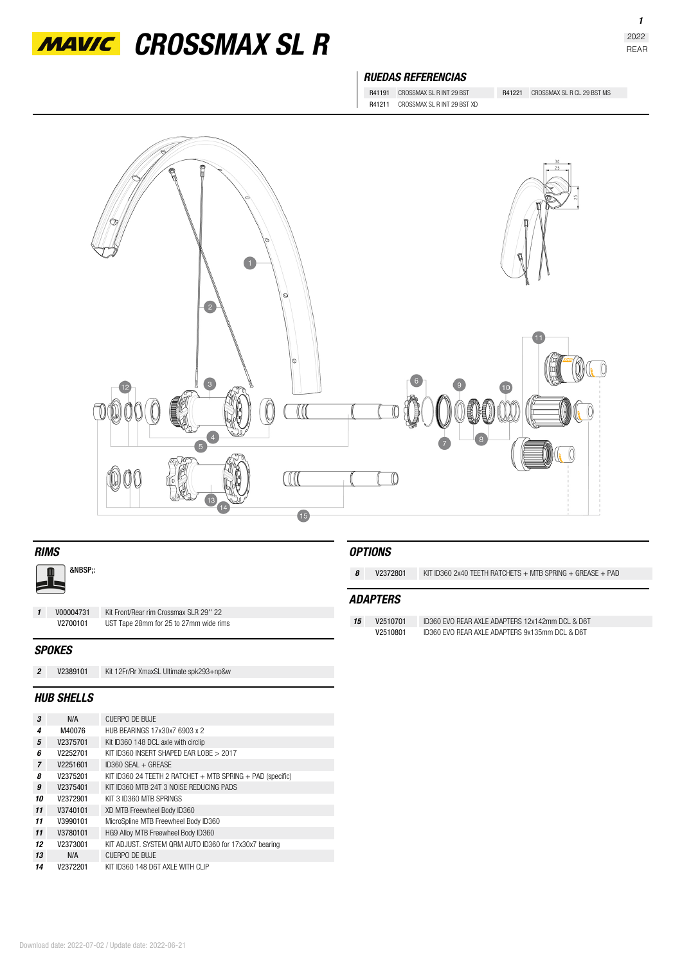

*MAVIC* CROSSMAX SL R

## *RUEDAS REFERENCIAS*

R41191 CROSSMAX SL R INT 29 BST R41221 CROSSMAX SL R CL 29 BST MS R41211 CROSSMAX SL R INT 29 BST XD



| <b>RIMS</b>    |                   |                                         |                 | <b>OPTIONS</b> |                                                                 |  |
|----------------|-------------------|-----------------------------------------|-----------------|----------------|-----------------------------------------------------------------|--|
| &NBSP::        |                   |                                         | 8               | V2372801       | KIT ID360 2x40 TEETH RATCHETS $+$ MTB SPRING $+$ GREASE $+$ PAD |  |
| 15             |                   |                                         | <b>ADAPTERS</b> |                |                                                                 |  |
| $\mathbf{1}$   | V00004731         | Kit Front/Rear rim Crossmax SLR 29" 22  |                 |                |                                                                 |  |
|                | V2700101          | UST Tape 28mm for 25 to 27mm wide rims  | 15              | V2510701       | ID360 EVO REAR AXLE ADAPTERS 12x142mm DCL & D6T                 |  |
|                |                   |                                         |                 | V2510801       | ID360 EVO REAR AXLE ADAPTERS 9x135mm DCL & D6T                  |  |
| <b>SPOKES</b>  |                   |                                         |                 |                |                                                                 |  |
| $\overline{2}$ | V2389101          | Kit 12Fr/Rr XmaxSL Ultimate spk293+np&w |                 |                |                                                                 |  |
|                | <b>HUB SHELLS</b> |                                         |                 |                |                                                                 |  |

| 3              | N/A      | CUFRPO DF BUJF                                                 |
|----------------|----------|----------------------------------------------------------------|
| 4              | M40076   | HUB BEARINGS 17x30x7 6903 x 2                                  |
| 5              | V2375701 | Kit ID360 148 DCL axle with circlip                            |
| 6              | V2252701 | KIT ID360 INSERT SHAPED EAR LOBE > 2017                        |
| $\overline{7}$ | V2251601 | $ID360$ SFAI + GREASE                                          |
| 8              | V2375201 | KIT ID360 24 TEETH 2 RATCHET $+$ MTB SPRING $+$ PAD (specific) |
| 9              | V2375401 | KIT ID360 MTB 24T 3 NOISE REDUCING PADS                        |
| 10             | V2372901 | KIT 3 ID360 MTB SPRINGS                                        |
| 11             | V3740101 | XD MTB Freewheel Body ID360                                    |
| 11             | V3990101 | MicroSpline MTB Freewheel Body ID360                           |
| 11             | V3780101 | HG9 Alloy MTB Freewheel Body ID360                             |
| 12             | V2373001 | KIT ADJUST. SYSTEM QRM AUTO ID360 for 17x30x7 bearing          |
| 13             | N/A      | CUFRPO DF BUJF                                                 |
| 14             | V2372201 | KIT ID360 148 D6T AXI F WITH CLIP                              |